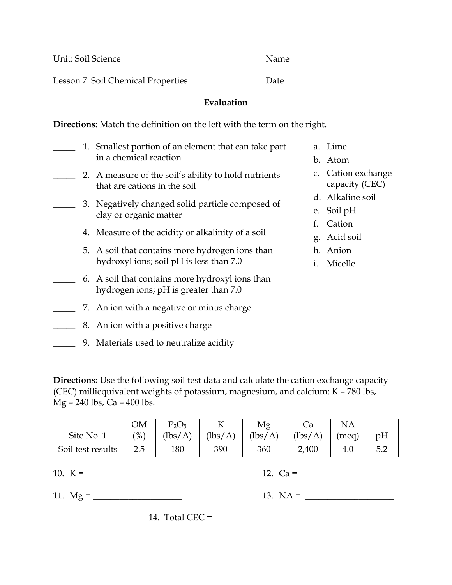Lesson 7: Soil Chemical Properties Date

Unit: Soil Science Name

**Evaluation** 

**Directions:** Match the definition on the left with the term on the right.

- 1. Smallest portion of an element that can take part in a chemical reaction \_\_\_\_\_ 2. A measure of the soil's ability to hold nutrients that are cations in the soil \_\_\_\_\_ 3. Negatively changed solid particle composed of clay or organic matter \_\_\_\_\_ 4. Measure of the acidity or alkalinity of a soil \_\_\_\_\_ 5. A soil that contains more hydrogen ions than hydroxyl ions; soil pH is less than 7.0 \_\_\_\_\_ 6. A soil that contains more hydroxyl ions than hydrogen ions; pH is greater than 7.0 \_\_\_\_\_ 7. An ion with a negative or minus charge \_\_\_\_\_ 8. An ion with a positive charge a. Lime
- \_\_\_\_\_ 9. Materials used to neutralize acidity
- b. Atom
- c. Cation exchange capacity (CEC)
- d. Alkaline soil
- e. Soil pH
- f. Cation
- g. Acid soil
- h. Anion
- i. Micelle

**Directions:** Use the following soil test data and calculate the cation exchange capacity (CEC) milliequivalent weights of potassium, magnesium, and calcium: K – 780 lbs, Mg – 240 lbs, Ca – 400 lbs.

|                   | ОM            | $P_2O_5$     |                               | Mg                            |             | NA    |            |
|-------------------|---------------|--------------|-------------------------------|-------------------------------|-------------|-------|------------|
| Site No. 1        | $\frac{9}{6}$ | (lbs/<br>'A' | $\frac{1}{5}$<br>$\mathbf{A}$ | $\frac{1}{5}$<br>$\mathbf{A}$ | (lbs/<br>'A | 'meg) | pH         |
| Soil test results | 2.5           | 180          | 390                           | 360                           | 2,400       | 4.0   | 5 C<br>◡.∠ |

11. Mg = \_\_\_\_\_\_\_\_\_\_\_\_\_\_\_\_\_\_\_\_ 13. NA = \_\_\_\_\_\_\_\_\_\_\_\_\_\_\_\_\_\_\_\_

10. K = \_\_\_\_\_\_\_\_\_\_\_\_\_\_\_\_\_\_\_\_ 12. Ca = \_\_\_\_\_\_\_\_\_\_\_\_\_\_\_\_\_\_\_\_

14. Total CEC = \_\_\_\_\_\_\_\_\_\_\_\_\_\_\_\_\_\_\_\_